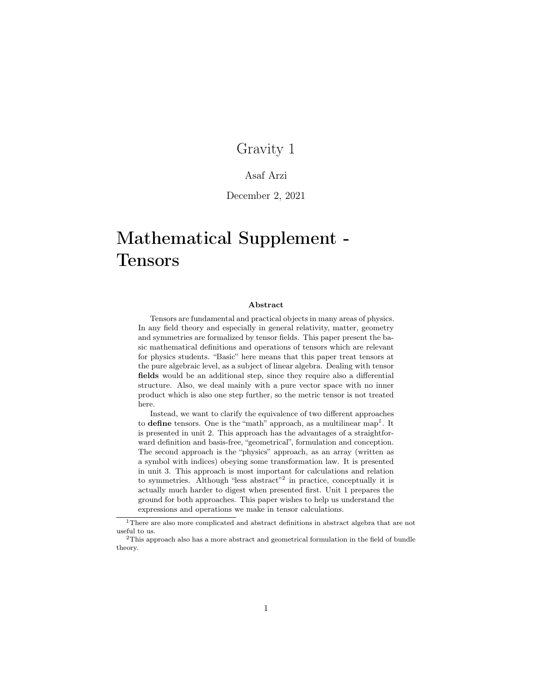## Gravity 1

### Asaf Arzi

### December 2, 2021

# Mathematical Supplement - Tensors

#### Abstract

Tensors are fundamental and practical objects in many areas of physics. In any field theory and especially in general relativity, matter, geometry and symmetries are formalized by tensor fields. This paper present the basic mathematical definitions and operations of tensors which are relevant for physics students. "Basic" here means that this paper treat tensors at the pure algebraic level, as a subject of linear algebra. Dealing with tensor fields would be an additional step, since they require also a differential structure. Also, we deal mainly with a pure vector space with no inner product which is also one step further, so the metric tensor is not treated here.

Instead, we want to clarify the equivalence of two different approaches to **define** tensors. One is the "math" approach, as a multilinear map<sup>[1](#page-0-0)</sup>. It is presented in unit 2. This approach has the advantages of a straightforward definition and basis-free, "geometrical", formulation and conception. The second approach is the "physics" approach, as an array (written as a symbol with indices) obeying some transformation law. It is presented in unit 3. This approach is most important for calculations and relation to symmetries. Although "less abstract"<sup>[2](#page-0-1)</sup> in practice, conceptually it is actually much harder to digest when presented first. Unit 1 prepares the ground for both approaches. This paper wishes to help us understand the expressions and operations we make in tensor calculations.

<span id="page-0-0"></span> $^1\rm{There}$  are also more complicated and abstract definitions in abstract algebra that are not useful to us.

<span id="page-0-1"></span><sup>2</sup>This approach also has a more abstract and geometrical formulation in the field of bundle theory.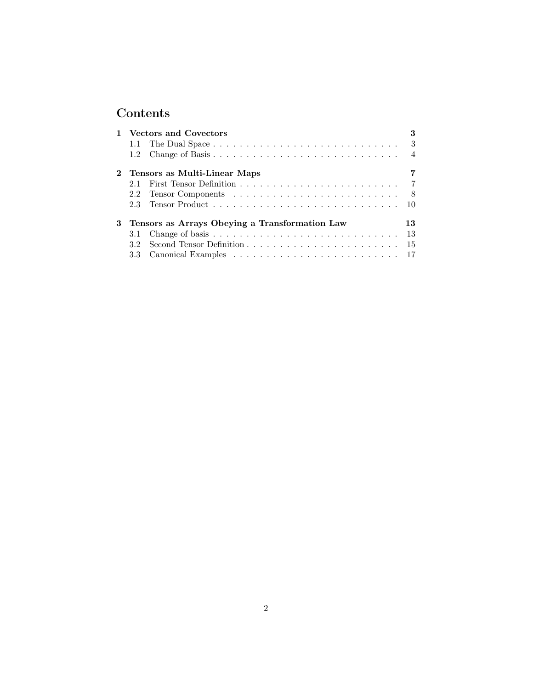## Contents

|  | 1 Vectors and Covectors                          |  | 3   |
|--|--------------------------------------------------|--|-----|
|  |                                                  |  |     |
|  |                                                  |  |     |
|  | 2 Tensors as Multi-Linear Maps                   |  |     |
|  | 21                                               |  |     |
|  |                                                  |  |     |
|  |                                                  |  |     |
|  | 3 Tensors as Arrays Obeying a Transformation Law |  | 13. |
|  |                                                  |  | -13 |
|  | 32                                               |  |     |
|  |                                                  |  |     |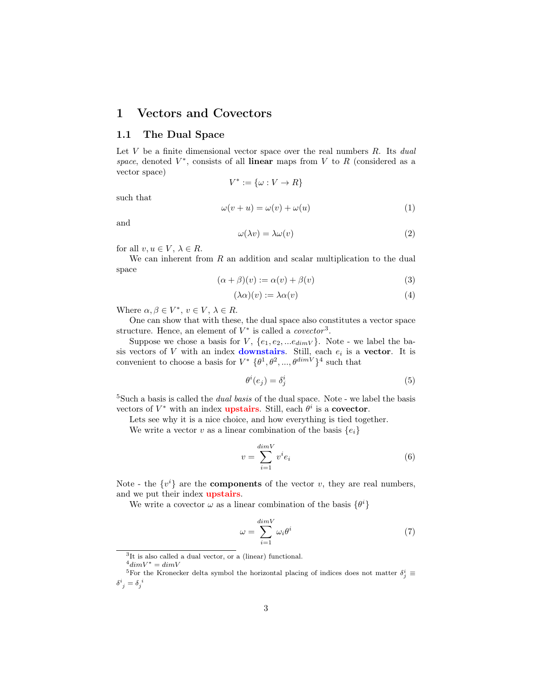## <span id="page-2-0"></span>1 Vectors and Covectors

### <span id="page-2-1"></span>1.1 The Dual Space

Let V be a finite dimensional vector space over the real numbers  $R$ . Its dual space, denoted  $V^*$ , consists of all linear maps from V to R (considered as a vector space)

 $V^* := {\omega : V \to R}$ 

such that

<span id="page-2-9"></span>
$$
\omega(v+u) = \omega(v) + \omega(u) \tag{1}
$$

and

<span id="page-2-10"></span>
$$
\omega(\lambda v) = \lambda \omega(v) \tag{2}
$$

for all  $v, u \in V, \lambda \in R$ .

We can inherent from  $R$  an addition and scalar multiplication to the dual space

<span id="page-2-6"></span>
$$
(\alpha + \beta)(v) := \alpha(v) + \beta(v) \tag{3}
$$

<span id="page-2-7"></span>
$$
(\lambda \alpha)(v) := \lambda \alpha(v) \tag{4}
$$

Where  $\alpha, \beta \in V^*$ ,  $v \in V$ ,  $\lambda \in R$ .

One can show that with these, the dual space also constitutes a vector space structure. Hence, an element of  $V^*$  is called a *covector*<sup>[3](#page-2-2)</sup>.

Suppose we chose a basis for V,  $\{e_1, e_2, ... e_{dimV}\}\$ . Note - we label the basis vectors of V with an index **downstairs**. Still, each  $e_i$  is a **vector**. It is convenient to choose a basis for  $V^* \{\theta^1, \theta^2, ..., \theta^{\dim V}\}^4$  $V^* \{\theta^1, \theta^2, ..., \theta^{\dim V}\}^4$  such that

<span id="page-2-11"></span>
$$
\theta^i(e_j) = \delta^i_j \tag{5}
$$

<sup>[5](#page-2-4)</sup>Such a basis is called the *dual basis* of the dual space. Note - we label the basis vectors of  $V^*$  with an index **upstairs**. Still, each  $\theta^i$  is a **covector**.

Lets see why it is a nice choice, and how everything is tied together.

We write a vector v as a linear combination of the basis  $\{e_i\}$ 

<span id="page-2-8"></span>
$$
v = \sum_{i=1}^{\dim V} v^i e_i \tag{6}
$$

Note - the  $\{v^i\}$  are the **components** of the vector v, they are real numbers, and we put their index **upstairs**.

We write a covector  $\omega$  as a linear combination of the basis  $\{\theta^i\}$ 

<span id="page-2-5"></span>
$$
\omega = \sum_{i=1}^{\dim V} \omega_i \theta^i \tag{7}
$$

<span id="page-2-4"></span><span id="page-2-3"></span> $^{4}dim V^{\ast}=dim V$ 

<span id="page-2-2"></span><sup>3</sup> It is also called a dual vector, or a (linear) functional.

<sup>&</sup>lt;sup>5</sup>For the Kronecker delta symbol the horizontal placing of indices does not matter  $\delta_j^i$   $\equiv$  $\delta^i_{\;\,j}=\delta^{\;\,i}_j$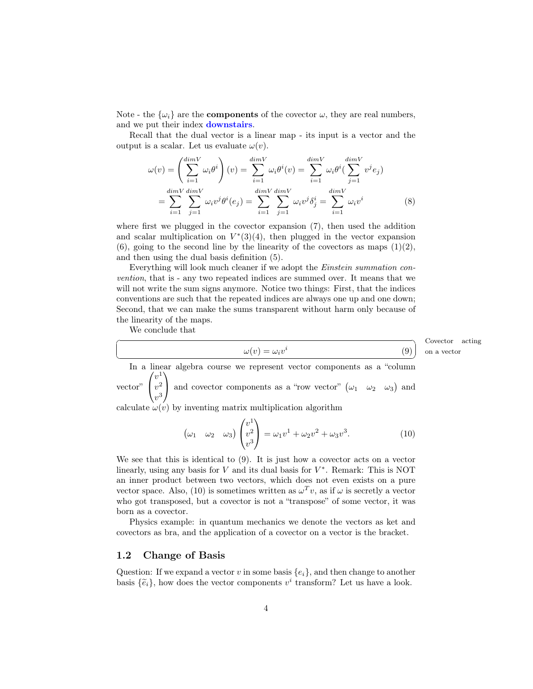Note - the  $\{\omega_i\}$  are the **components** of the covector  $\omega$ , they are real numbers, and we put their index downstairs.

Recall that the dual vector is a linear map - its input is a vector and the output is a scalar. Let us evaluate  $\omega(v)$ .

$$
\omega(v) = \left(\sum_{i=1}^{\dim V} \omega_i \theta^i\right)(v) = \sum_{i=1}^{\dim V} \omega_i \theta^i(v) = \sum_{i=1}^{\dim V} \omega_i \theta^i\left(\sum_{j=1}^{\dim V} v^j e_j\right)
$$

$$
= \sum_{i=1}^{\dim V} \sum_{j=1}^{\dim V} \omega_i v^j \theta^i(e_j) = \sum_{i=1}^{\dim V} \sum_{j=1}^{\dim V} \omega_i v^j \delta^i_j = \sum_{i=1}^{\dim V} \omega_i v^i
$$
(8)

where first we plugged in the covector expansion [\(7\)](#page-2-5), then used the addition and scalar multiplication on  $V^*(3)(4)$  $V^*(3)(4)$  $V^*(3)(4)$ , then plugged in the vector expansion [\(6\)](#page-2-8), going to the second line by the linearity of the covectors as maps  $(1)(2)$  $(1)(2)$ , and then using the dual basis definition [\(5\)](#page-2-11).

Everything will look much cleaner if we adopt the Einstein summation convention, that is - any two repeated indices are summed over. It means that we will not write the sum signs anymore. Notice two things: First, that the indices conventions are such that the repeated indices are always one up and one down; Second, that we can make the sums transparent without harm only because of the linearity of the maps.

We conclude that

 $\overline{a}$ 

<span id="page-3-1"></span>
$$
\omega(v) = \omega_i v^i
$$

Covector acting on a vector

☎

(9)

✝ ✆ In a linear algebra course we represent vector components as a "column vector"  $\sqrt{ }$  $\mathcal{L}$  $v^1$  $v^2$  $v^3$  $\setminus$ and covector components as a "row vector"  $(\omega_1 \quad \omega_2 \quad \omega_3)$  and

calculate  $\omega(v)$  by inventing matrix multiplication algorithm

<span id="page-3-2"></span>
$$
\left(\omega_1 \quad \omega_2 \quad \omega_3\right) \begin{pmatrix} v^1 \\ v^2 \\ v^3 \end{pmatrix} = \omega_1 v^1 + \omega_2 v^2 + \omega_3 v^3. \tag{10}
$$

We see that this is identical to [\(9\)](#page-3-1). It is just how a covector acts on a vector linearly, using any basis for  $V$  and its dual basis for  $V^*$ . Remark: This is NOT an inner product between two vectors, which does not even exists on a pure vector space. Also, [\(10\)](#page-3-2) is sometimes written as  $\omega^T v$ , as if  $\omega$  is secretly a vector who got transposed, but a covector is not a "transpose" of some vector, it was born as a covector.

Physics example: in quantum mechanics we denote the vectors as ket and covectors as bra, and the application of a covector on a vector is the bracket.

#### <span id="page-3-0"></span>1.2 Change of Basis

Question: If we expand a vector v in some basis  $\{e_i\}$ , and then change to another basis  $\{\tilde{e}_i\}$ , how does the vector components  $v^i$  transform? Let us have a look.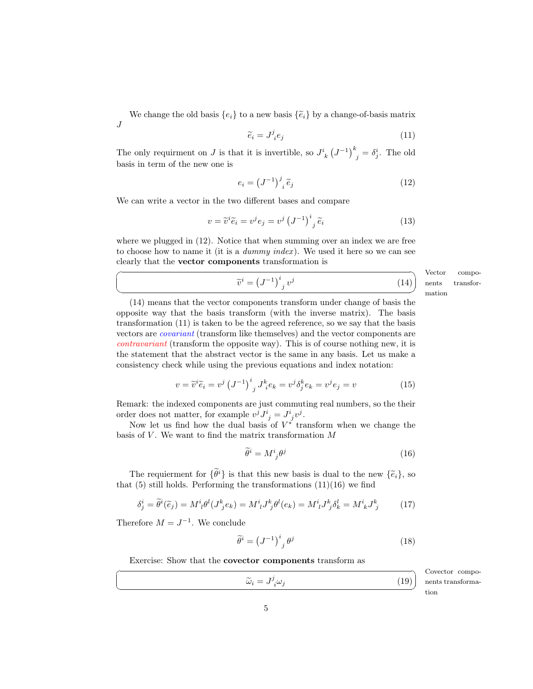We change the old basis  $\{e_i\}$  to a new basis  $\{\tilde{e}_i\}$  by a change-of-basis matrix J

<span id="page-4-2"></span>
$$
\widetilde{e}_i = J^j_i e_j \tag{11}
$$

The only requirment on J is that it is invertible, so  $J^i_{\ k} (J^{-1})^k_{\ j} = \delta^i_j$ . The old basis in term of the new one is

<span id="page-4-0"></span>
$$
e_i = \left(J^{-1}\right)^j_i \tilde{e}_j \tag{12}
$$

We can write a vector in the two different bases and compare

<span id="page-4-1"></span>
$$
v = \widetilde{v}^i \widetilde{e}_i = v^j e_j = v^j \left(J^{-1}\right)^i{}_j \widetilde{e}_i \tag{13}
$$

where we plugged in  $(12)$ . Notice that when summing over an index we are free to choose how to name it (it is a *dummy index)*. We used it here so we can see clearly that the vector components transformation is

$$
\widetilde{v}^i = \left(J^{-1}\right)^i{}_j v^j
$$
\nVec

\n(14)

\nopen

\nmat

Vector compots transfor- $\frac{1}{2}$ 

[\(14\)](#page-4-1) means that the vector components transform under change of basis the opposite way that the basis transform (with the inverse matrix). The basis transformation [\(11\)](#page-4-2) is taken to be the agreed reference, so we say that the basis vectors are covariant (transform like themselves) and the vector components are contravariant (transform the opposite way). This is of course nothing new, it is the statement that the abstract vector is the same in any basis. Let us make a consistency check while using the previous equations and index notation:

<span id="page-4-5"></span>
$$
v = \tilde{v}^i \tilde{e}_i = v^j \left(J^{-1}\right)^i{}_j J^k{}_i e_k = v^j \delta^k_j e_k = v^j e_j = v \tag{15}
$$

Remark: the indexed components are just commuting real numbers, so the their order does not matter, for example  $v^j J^i_{\;j} = J^i_{\;j} v^j$ .

Now let us find how the dual basis of  $V^*$  transform when we change the basis of  $V$ . We want to find the matrix transformation  $M$ 

<span id="page-4-3"></span>
$$
\tilde{\theta}^i = M^i_{\ j}\theta^j \tag{16}
$$

The requierment for  $\{\widetilde{\theta}^i\}$  is that this new basis is dual to the new  $\{\widetilde{e}_i\}$ , so that  $(5)$  still holds. Performing the transformations  $(11)(16)$  $(11)(16)$  we find

$$
\delta_j^i = \tilde{\theta}^i(\tilde{e}_j) = M^i{}_l \theta^l (J^k{}_j e_k) = M^i{}_l J^k{}_j \theta^l (e_k) = M^i{}_l J^k{}_j \delta^l_k = M^i{}_k J^k{}_j \tag{17}
$$

Therefore  $M = J^{-1}$ . We conclude

☛

 $\searrow$ 

 $\overline{a}$ 

✝

<span id="page-4-4"></span>
$$
\widetilde{\theta}^i = \left(J^{-1}\right)^i_{\ j} \theta^j \tag{18}
$$

Exercise: Show that the covector components transform as

<span id="page-4-6"></span>
$$
\widetilde{\omega}_i = J^j_{\ i}\omega_j \qquad (19)
$$
\n
$$
\widetilde{\omega}_i = \widetilde{J}^j_{\ i}\omega_j
$$
\n
$$
\widetilde{\omega}_i
$$
\n19

Covector compoformation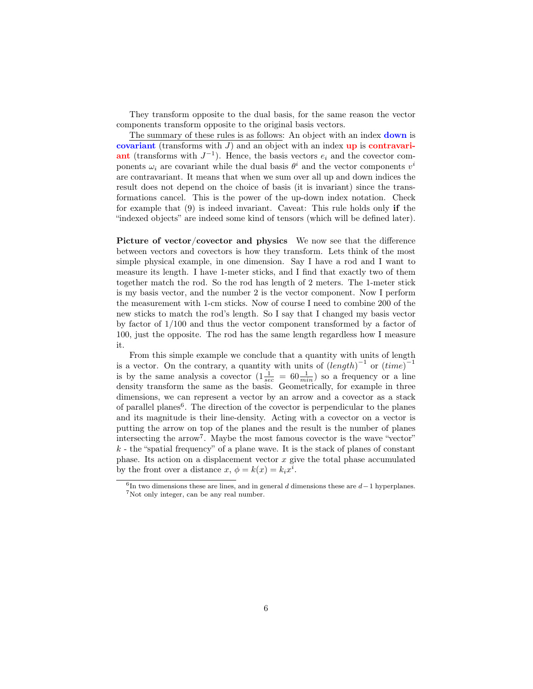They transform opposite to the dual basis, for the same reason the vector components transform opposite to the original basis vectors.

The summary of these rules is as follows: An object with an index **down** is covariant (transforms with  $J$ ) and an object with an index up is contravari**ant** (transforms with  $J^{-1}$ ). Hence, the basis vectors  $e_i$  and the covector components  $\omega_i$  are covariant while the dual basis  $\theta^i$  and the vector components  $v^i$ are contravariant. It means that when we sum over all up and down indices the result does not depend on the choice of basis (it is invariant) since the transformations cancel. This is the power of the up-down index notation. Check for example that [\(9\)](#page-3-1) is indeed invariant. Caveat: This rule holds only if the "indexed objects" are indeed some kind of tensors (which will be defined later).

Picture of vector/covector and physics We now see that the difference between vectors and covectors is how they transform. Lets think of the most simple physical example, in one dimension. Say I have a rod and I want to measure its length. I have 1-meter sticks, and I find that exactly two of them together match the rod. So the rod has length of 2 meters. The 1-meter stick is my basis vector, and the number 2 is the vector component. Now I perform the measurement with 1-cm sticks. Now of course I need to combine 200 of the new sticks to match the rod's length. So I say that I changed my basis vector by factor of 1/100 and thus the vector component transformed by a factor of 100, just the opposite. The rod has the same length regardless how I measure it.

From this simple example we conclude that a quantity with units of length is a vector. On the contrary, a quantity with units of  $(length)^{-1}$  or  $(time)^{-1}$ is by the same analysis a covector  $(1\frac{1}{sec} = 60\frac{1}{min})$  so a frequency or a line density transform the same as the basis. Geometrically, for example in three dimensions, we can represent a vector by an arrow and a covector as a stack of parallel planes<sup>[6](#page-5-0)</sup>. The direction of the covector is perpendicular to the planes and its magnitude is their line-density. Acting with a covector on a vector is putting the arrow on top of the planes and the result is the number of planes intersecting the arrow[7](#page-5-1) . Maybe the most famous covector is the wave "vector"  $k$  - the "spatial frequency" of a plane wave. It is the stack of planes of constant phase. Its action on a displacement vector  $x$  give the total phase accumulated by the front over a distance  $x, \phi = k(x) = k_i x^i$ .

<span id="page-5-1"></span><span id="page-5-0"></span> $6$ In two dimensions these are lines, and in general d dimensions these are  $d-1$  hyperplanes. <sup>7</sup>Not only integer, can be any real number.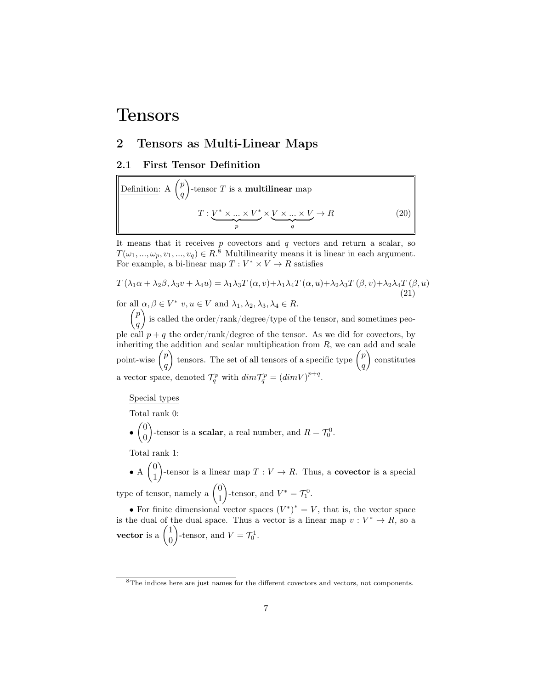## Tensors

## <span id="page-6-0"></span>2 Tensors as Multi-Linear Maps

#### <span id="page-6-1"></span>2.1 First Tensor Definition

Definition: A 
$$
\binom{p}{q}
$$
-tensor  $T$  is a **multilinear** map

\n
$$
T: \underbrace{V^* \times \ldots \times V^*}_{p} \times \underbrace{V \times \ldots \times V}_{q} \to R
$$
\n(20)

It means that it receives  $p$  covectors and  $q$  vectors and return a scalar, so  $T(\omega_1, ..., \omega_p, v_1, ..., v_q) \in R^8$  $T(\omega_1, ..., \omega_p, v_1, ..., v_q) \in R^8$  Multilinearity means it is linear in each argument. For example, a bi-linear map  $T: V^* \times V \to R$  satisfies

$$
T(\lambda_1 \alpha + \lambda_2 \beta, \lambda_3 v + \lambda_4 u) = \lambda_1 \lambda_3 T(\alpha, v) + \lambda_1 \lambda_4 T(\alpha, u) + \lambda_2 \lambda_3 T(\beta, v) + \lambda_2 \lambda_4 T(\beta, u)
$$
  
for all  $\alpha, \beta \in V^*$   $v, u \in V$  and  $\lambda_1, \lambda_2, \lambda_3, \lambda_4 \in R$ . (21)

 $\sqrt{p}$ q is called the order/rank/degree/type of the tensor, and sometimes people call  $p + q$  the order/rank/degree of the tensor. As we did for covectors, by inheriting the addition and scalar multiplication from  $R$ , we can add and scale point-wise  $\binom{p}{q}$ q tensors. The set of all tensors of a specific type  $\binom{p}{q}$ q constitutes a vector space, denoted  $\mathcal{T}_q^p$  with  $dim \mathcal{T}_q^p = (dim V)^{p+q}$ .

Special types

Total rank 0:

 $\bullet \int_{0}^{0}$ 0 )-tensor is a **scalar**, a real number, and  $R = \mathcal{T}_0^0$ .

Total rank 1:

 $\bullet$  A  $\Big(\begin{smallmatrix} 0 \\ 1 \end{smallmatrix}\Big)$ 1 )-tensor is a linear map  $T: V \to R$ . Thus, a **covector** is a special type of tensor, namely a  $\begin{pmatrix} 0 \\ 1 \end{pmatrix}$ 1 )-tensor, and  $V^* = \mathcal{T}_1^0$ .

• For finite dimensional vector spaces  $(V^*)^* = V$ , that is, the vector space is the dual of the dual space. Thus a vector is a linear map  $v: V^* \to R$ , so a vector is a  $\begin{pmatrix} 1 \\ 0 \end{pmatrix}$ 0 )-tensor, and  $V = \mathcal{T}_0^1$ .

<span id="page-6-2"></span><sup>8</sup>The indices here are just names for the different covectors and vectors, not components.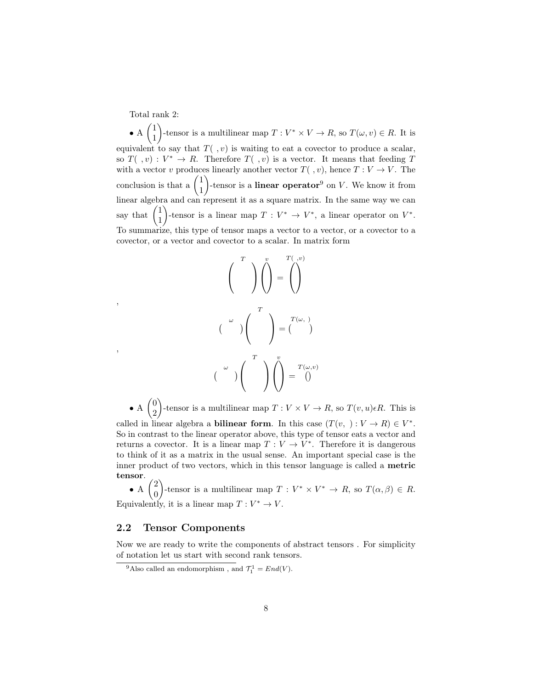Total rank 2:

,

,

 $\bullet$  A  $\begin{pmatrix} 1 \\ 1 \end{pmatrix}$ 1 )-tensor is a multilinear map  $T: V^* \times V \to R$ , so  $T(\omega, v) \in R$ . It is equivalent to say that  $T( , v)$  is waiting to eat a covector to produce a scalar, so  $T( , v) : V^* \to R$ . Therefore  $T( , v)$  is a vector. It means that feeding T with a vector v produces linearly another vector  $T(\, , v)$ , hence  $T: V \to V$ . The conclusion is that a  $\begin{pmatrix} 1 \\ 1 \end{pmatrix}$ 1 )-tensor is a **linear operator**<sup>[9](#page-7-1)</sup> on  $V$ . We know it from linear algebra and can represent it as a square matrix. In the same way we can say that  $\begin{pmatrix} 1 \\ 1 \end{pmatrix}$ 1 )-tensor is a linear map  $T: V^* \to V^*$ , a linear operator on  $V^*$ . To summarize, this type of tensor maps a vector to a vector, or a covector to a covector, or a vector and covector to a scalar. In matrix form



 $\bullet$  A  $\begin{pmatrix} 0 \\ 0 \end{pmatrix}$ 2 )-tensor is a multilinear map  $T: V \times V \to R$ , so  $T(v, u) \in R$ . This is called in linear algebra a **bilinear form**. In this case  $(T(v, ) : V \to R) \in V^*$ . So in contrast to the linear operator above, this type of tensor eats a vector and returns a covector. It is a linear map  $T: V \to V^*$ . Therefore it is dangerous to think of it as a matrix in the usual sense. An important special case is the inner product of two vectors, which in this tensor language is called a metric tensor.

 $\bullet$  A  $\binom{2}{0}$ 0 )-tensor is a multilinear map  $T: V^* \times V^* \to R$ , so  $T(\alpha, \beta) \in R$ . Equivalently, it is a linear map  $T: V^* \to V$ .

#### <span id="page-7-0"></span>2.2 Tensor Components

Now we are ready to write the components of abstract tensors . For simplicity of notation let us start with second rank tensors.

<span id="page-7-1"></span><sup>&</sup>lt;sup>9</sup>Also called an endomorphism, and  $\mathcal{T}_1^1 = End(V)$ .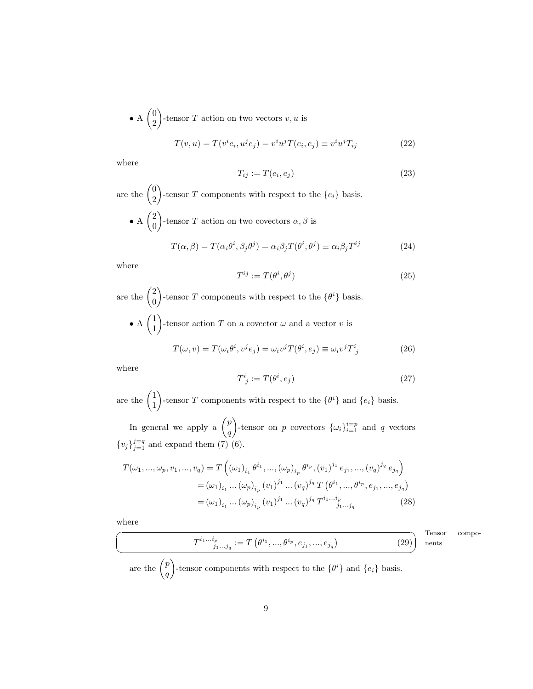• A 
$$
\binom{0}{2}
$$
-tensor T action on two vectors v, u is

$$
T(v, u) = T(viei, ujej) = viujT(ei, ej) \equiv viujTij
$$
\n(22)

where

$$
T_{ij} := T(e_i, e_j) \tag{23}
$$

are the  $\begin{pmatrix} 0 \\ 0 \end{pmatrix}$ 2 )-tensor T components with respect to the  $\{e_i\}$  basis.  $\bullet$  A  $\binom{2}{0}$ 0 )-tensor T action on two covectors  $\alpha, \beta$  is

$$
T(\alpha, \beta) = T(\alpha_i \theta^i, \beta_j \theta^j) = \alpha_i \beta_j T(\theta^i, \theta^j) \equiv \alpha_i \beta_j T^{ij}
$$
 (24)

where

$$
T^{ij} := T(\theta^i, \theta^j) \tag{25}
$$

are the  $\binom{2}{0}$  $\overline{0}$ )-tensor T components with respect to the  $\{\theta^i\}$  basis.  $\bullet$  A  $\begin{pmatrix} 1 \\ 1 \end{pmatrix}$ 1 -tensor action T on a covector  $\omega$  and a vector v is

$$
T(\omega, v) = T(\omega_i \theta^i, v^j e_j) = \omega_i v^j T(\theta^i, e_j) \equiv \omega_i v^j T^i_{\ j} \tag{26}
$$

where

$$
T^i_{\ j} := T(\theta^i, e_j) \tag{27}
$$

are the  $\begin{pmatrix} 1 \\ 1 \end{pmatrix}$ 1 )-tensor T components with respect to the  $\{\theta^i\}$  and  $\{e_i\}$  basis.

In general we apply a  $\binom{p}{q}$  $\overline{q}$ )-tensor on p covectors  $\{\omega_i\}_{i=1}^{i=p}$  and q vectors  ${v_j}_{j=1}^{j=q}$  and expand them [\(7\)](#page-2-5) [\(6\)](#page-2-8).

$$
T(\omega_1, ..., \omega_p, v_1, ..., v_q) = T\left((\omega_1)_{i_1} \theta^{i_1}, ..., (\omega_p)_{i_p} \theta^{i_p}, (v_1)^{j_1} e_{j_1}, ..., (v_q)^{j_q} e_{j_q}\right)
$$
  

$$
= (\omega_1)_{i_1} ... (\omega_p)_{i_p} (v_1)^{j_1} ... (v_q)^{j_q} T\left(\theta^{i_1}, ..., \theta^{i_p}, e_{j_1}, ..., e_{j_q}\right)
$$
  

$$
= (\omega_1)_{i_1} ... (\omega_p)_{i_p} (v_1)^{j_1} ... (v_q)^{j_q} T^{i_1...i_p}
$$
 (28)

where ☛

 $\searrow$ 

<span id="page-8-0"></span>
$$
T^{i_1...i_p}_{j_1...j_q} := T\left(\theta^{i_1}, \dots, \theta^{i_p}, e_{j_1}, \dots, e_{j_q}\right) \tag{29}
$$

**Tensor** components

are the  $\binom{p}{q}$ q )-tensor components with respect to the  $\{\theta^i\}$  and  $\{e_i\}$  basis.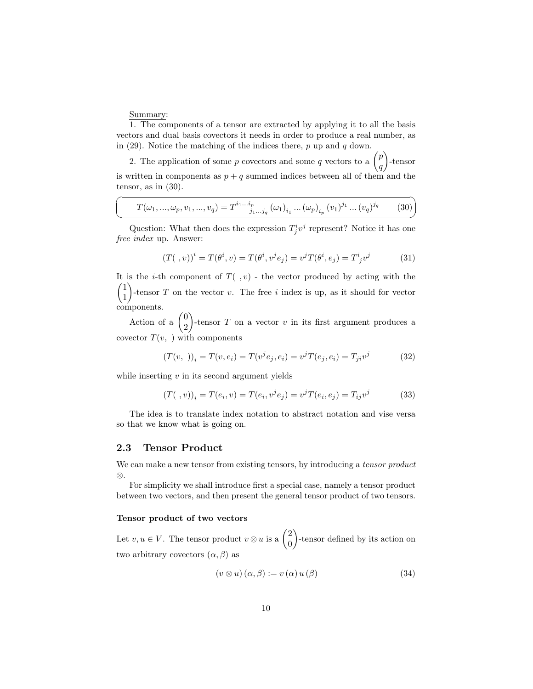Summary:

☛

 $\searrow$ 

1. The components of a tensor are extracted by applying it to all the basis vectors and dual basis covectors it needs in order to produce a real number, as in [\(29\)](#page-8-0). Notice the matching of the indices there,  $p$  up and  $q$  down.

2. The application of some p covectors and some q vectors to a  $\binom{p}{p}$ q -tensor is written in components as  $p + q$  summed indices between all of them and the tensor, as in [\(30\)](#page-9-1).

<span id="page-9-1"></span>
$$
T(\omega_1, ..., \omega_p, v_1, ..., v_q) = T^{i_1...i_p}_{j_1...j_q} (\omega_1)_{i_1} ... (\omega_p)_{i_p} (v_1)^{j_1} ... (v_q)^{j_q}
$$
 (30)

Question: What then does the expression  $T^i_j v^j$  represent? Notice it has one free index up. Answer:

$$
(T( ,v))^i = T(\theta^i, v) = T(\theta^i, v^j e_j) = v^j T(\theta^i, e_j) = T^i{}_j v^j
$$
(31)

✟

✠

It is the *i*-th component of  $T( , v)$  - the vector produced by acting with the  $(1)$ 1 -tensor  $T$  on the vector  $v$ . The free i index is up, as it should for vector components.

Action of a  $\begin{pmatrix} 0 \\ 2 \end{pmatrix}$ 2 )-tensor  $T$  on a vector  $v$  in its first argument produces a covector  $T(v, \cdot)$  with components

$$
(T(v,))_i = T(v, e_i) = T(v^j e_j, e_i) = v^j T(e_j, e_i) = T_{ji} v^j
$$
\n(32)

while inserting  $v$  in its second argument yields

$$
(T(\ ,v))_i = T(e_i,v) = T(e_i,v^je_j) = v^jT(e_i,e_j) = T_{ij}v^j \qquad (33)
$$

The idea is to translate index notation to abstract notation and vise versa so that we know what is going on.

#### <span id="page-9-0"></span>2.3 Tensor Product

We can make a new tensor from existing tensors, by introducing a *tensor product* ⊗.

For simplicity we shall introduce first a special case, namely a tensor product between two vectors, and then present the general tensor product of two tensors.

#### Tensor product of two vectors

Let  $v, u \in V$ . The tensor product  $v \otimes u$  is a  $\begin{pmatrix} 2 \\ 0 \end{pmatrix}$ 0 -tensor defined by its action on two arbitrary covectors  $(\alpha, \beta)$  as

<span id="page-9-2"></span>
$$
(v \otimes u) (\alpha, \beta) := v (\alpha) u (\beta) \tag{34}
$$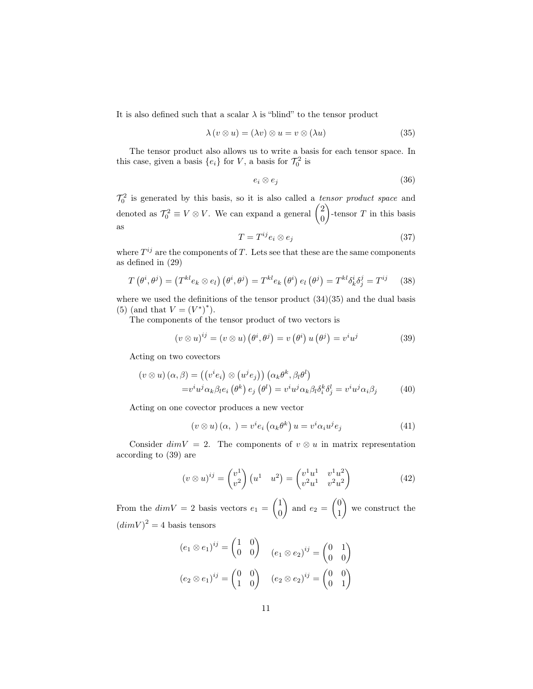It is also defined such that a scalar  $\lambda$  is "blind" to the tensor product

<span id="page-10-0"></span>
$$
\lambda (v \otimes u) = (\lambda v) \otimes u = v \otimes (\lambda u) \tag{35}
$$

The tensor product also allows us to write a basis for each tensor space. In this case, given a basis  $\{e_i\}$  for V, a basis for  $\mathcal{T}_0^2$  is

$$
e_i \otimes e_j \tag{36}
$$

 $\mathcal{T}_0^2$  is generated by this basis, so it is also called a *tensor product space* and denoted as  $\mathcal{T}_0^2 \equiv V \otimes V$ . We can expand a general  $\begin{pmatrix} 2 \\ 0 \end{pmatrix}$ 0 )-tensor  $T$  in this basis as

$$
T = T^{ij} e_i \otimes e_j \tag{37}
$$

where  $T^{ij}$  are the components of T. Lets see that these are the same components as defined in [\(29\)](#page-8-0)

$$
T(\theta^i, \theta^j) = (T^{kl} e_k \otimes e_l) (\theta^i, \theta^j) = T^{kl} e_k (\theta^i) e_l (\theta^j) = T^{kl} \delta^i_k \delta^j_j = T^{ij} \quad (38)
$$

where we used the definitions of the tensor product  $(34)(35)$  $(34)(35)$  and the dual basis [\(5\)](#page-2-11) (and that  $V = (V^*)^*$ ).

The components of the tensor product of two vectors is

<span id="page-10-1"></span>
$$
(v \otimes u)^{ij} = (v \otimes u) (\theta^i, \theta^j) = v (\theta^i) u (\theta^j) = v^i u^j \tag{39}
$$

Acting on two covectors

$$
(v \otimes u) (\alpha, \beta) = ((v^i e_i) \otimes (u^j e_j)) (\alpha_k \theta^k, \beta_l \theta^l)
$$
  

$$
= v^i u^j \alpha_k \beta_l e_i (\theta^k) e_j (\theta^l) = v^i u^j \alpha_k \beta_l \delta_i^k \delta_j^l = v^i u^j \alpha_i \beta_j
$$
 (40)

Acting on one covector produces a new vector

$$
(v \otimes u) (\alpha, ) = v^{i} e_{i} (\alpha_{k} \theta^{k}) u = v^{i} \alpha_{i} u^{j} e_{j}
$$
 (41)

Consider  $dim V = 2$ . The components of  $v \otimes u$  in matrix representation according to [\(39\)](#page-10-1) are

$$
(v \otimes u)^{ij} = \begin{pmatrix} v^1 \\ v^2 \end{pmatrix} \begin{pmatrix} u^1 & u^2 \end{pmatrix} = \begin{pmatrix} v^1 u^1 & v^1 u^2 \\ v^2 u^1 & v^2 u^2 \end{pmatrix}
$$
 (42)

From the  $dim V = 2$  basis vectors  $e_1 = \begin{pmatrix} 1 \\ 0 \end{pmatrix}$ 0 ) and  $e_2 = \begin{pmatrix} 0 \\ 1 \end{pmatrix}$ 1 we construct the  $(dimV)^2 = 4$  basis tensors

$$
(e_1 \otimes e_1)^{ij} = \begin{pmatrix} 1 & 0 \\ 0 & 0 \end{pmatrix} \quad (e_1 \otimes e_2)^{ij} = \begin{pmatrix} 0 & 1 \\ 0 & 0 \end{pmatrix}
$$

$$
(e_2 \otimes e_1)^{ij} = \begin{pmatrix} 0 & 0 \\ 1 & 0 \end{pmatrix} \quad (e_2 \otimes e_2)^{ij} = \begin{pmatrix} 0 & 0 \\ 0 & 1 \end{pmatrix}
$$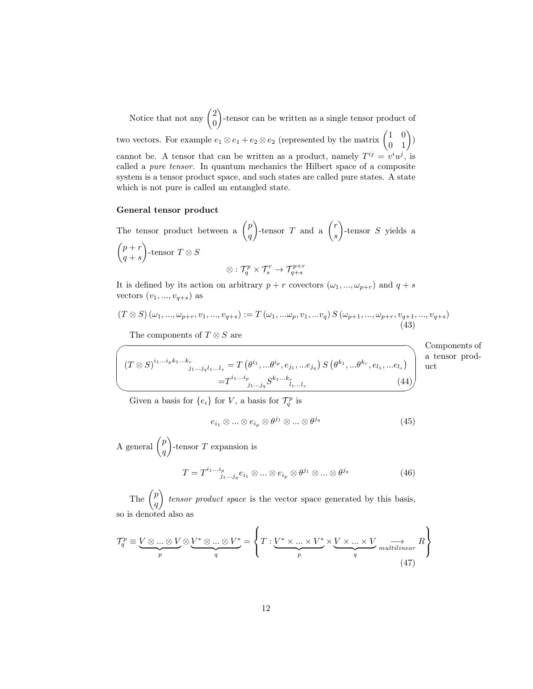Notice that not any  $\binom{2}{0}$ 0 -tensor can be written as a single tensor product of two vectors. For example  $e_1 \otimes e_1 + e_2 \otimes e_2$  (represented by the matrix  $\begin{pmatrix} 1 & 0 \\ 0 & 1 \end{pmatrix}$ ) cannot be. A tensor that can be written as a product, namely  $T^{ij} = v^i u^j$ , is called a pure tensor. In quantum mechanics the Hilbert space of a composite system is a tensor product space, and such states are called pure states. A state which is not pure is called an entangled state.

#### General tensor product

The tensor product between a  $\binom{p}{q}$ q )-tensor T and a  $\binom{r}{r}$ s  $\Big)$ -tensor S yields a  $\int p + r$  $q + s$  $\Big)$ -tensor  $T \otimes S$  $\otimes : \mathcal{T}_q^p \times \mathcal{T}_s^r \rightarrow \mathcal{T}_{q+s}^{p+r}$ 

It is defined by its action on arbitrary  $p + r$  covectors  $(\omega_1, ..., \omega_{p+r})$  and  $q + s$ vectors  $(v_1, ..., v_{q+s})$  as

$$
(T \otimes S) (\omega_1, ..., \omega_{p+r}, v_1, ..., v_{q+s}) := T (\omega_1, ..., \omega_p, v_1, ..., v_q) S (\omega_{p+1}, ..., \omega_{p+r}, v_{q+1}, ..., v_{q+s})
$$
\n(43)

The components of  $T \otimes S$  are

 $\overline{\phantom{0}}$ 

Components of a tensor product

$$
\begin{pmatrix}\n(T \otimes S)^{i_1...i_p k_1...k_r} & T(\theta^{i_1},...\theta^{i_p}, e_{j_1},...e_{j_q}) S(\theta^{k_1},...\theta^{k_r}, e_{l_1},...e_{l_s}) \\
= T^{i_1...i_p}_{j_1...j_q} S^{k_1...k_r}_{l_1...l_s} & (44)\n\end{pmatrix}
$$

Given a basis for  $\{e_i\}$  for V, a basis for  $\mathcal{T}_q^p$  is

$$
e_{i_1} \otimes \ldots \otimes e_{i_p} \otimes \theta^{j_1} \otimes \ldots \otimes \theta^{j_q}
$$
 (45)

A general  $\binom{p}{p}$ q  $\Big)$ -tensor T expansion is

$$
T = T^{i_1 \dots i_p}_{j_1 \dots j_q} e_{i_1} \otimes \dots \otimes e_{i_p} \otimes \theta^{j_1} \otimes \dots \otimes \theta^{j_q}
$$
 (46)

The  $\binom{p}{q}$ q  $\bigg\}$  tensor product space is the vector space generated by this basis, so is denoted also as

$$
\mathcal{T}_q^p \equiv \underbrace{V \otimes \ldots \otimes V}_{p} \otimes \underbrace{V^* \otimes \ldots \otimes V^*}_{q} = \left\{ T : \underbrace{V^* \times \ldots \times V^*}_{p} \times \underbrace{V \times \ldots \times V}_{q} \underset{multilinear}{\longrightarrow} R \right\}
$$
\n(47)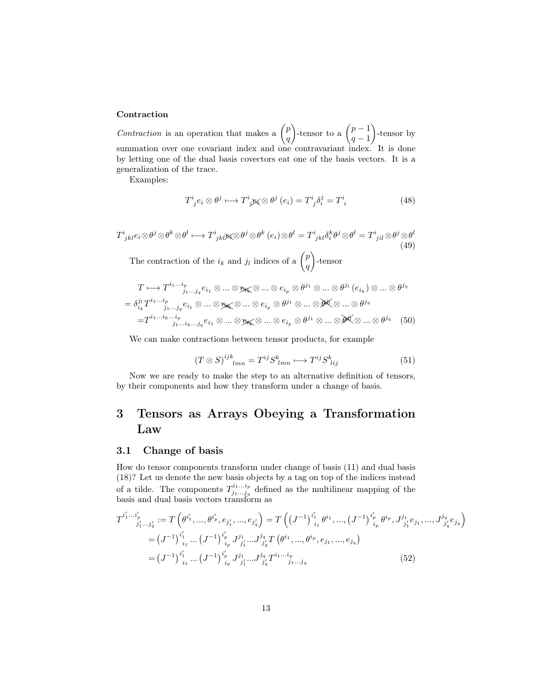#### **Contraction**

Contraction is an operation that makes a  $\binom{p}{q}$ q )-tensor to a  $\binom{p-1}{q-1}$  $q-1$  -tensor by summation over one covariant index and one contravariant index. It is done by letting one of the dual basis covectors eat one of the basis vectors. It is a generalization of the trace.

Examples:

$$
T^i_{\;j}e_i \otimes \theta^j \longmapsto T^i_{\;j}g_j \otimes \theta^j\left(e_i\right) = T^i_{\;j}\delta^j_i = T^i_{\;i} \tag{48}
$$

$$
T^{i}_{jkl}e_i \otimes \theta^j \otimes \theta^k \otimes \theta^l \longmapsto T^{i}_{jkl} \otimes \theta^j \otimes \theta^k \ (e_i) \otimes \theta^l = T^{i}_{jkl} \delta^k_i \theta^j \otimes \theta^l = T^{i}_{jil} \otimes \theta^j \otimes \theta^l
$$
\n(49)  
\nThe contraction of the  $i_k$  and  $j_l$  indices of a  $\binom{p}{k}$ -tensor

The contraction of the  $i_k$  and  $j_l$  $\left\langle q\right\rangle$ -tensor

$$
T \longmapsto T^{i_1 \dots i_p}_{j_1 \dots j_q} e_{i_1} \otimes \dots \otimes e_{i_p} \otimes \theta^{j_1} \otimes \dots \otimes \theta^{j_l} (e_{i_k}) \otimes \dots \otimes \theta^{j_q}
$$
  
=  $\delta_{i_k}^{j_l} T^{i_1 \dots i_p}_{j_1 \dots j_q} e_{i_1} \otimes \dots \otimes e_{i_k} \otimes \dots \otimes e_{i_p} \otimes \theta^{j_1} \otimes \dots \otimes \theta^{j_q}$   
=  $T^{i_1 \dots i_k \dots i_p}_{j_1 \dots i_k \dots j_q} e_{i_1} \otimes \dots \otimes e_{i_k} \otimes \dots \otimes e_{i_p} \otimes \theta^{j_1} \otimes \dots \otimes \theta^{j_q}$  (50)

We can make contractions between tensor products, for example

<span id="page-12-2"></span>
$$
(T \otimes S)^{ijk}_{lmn} = T^{ij} S^{k}_{lmn} \longmapsto T^{ij} S^{k}_{\;lij} \tag{51}
$$

Now we are ready to make the step to an alternative definition of tensors, by their components and how they transform under a change of basis.

## <span id="page-12-0"></span>3 Tensors as Arrays Obeying a Transformation Law

#### <span id="page-12-1"></span>3.1 Change of basis

How do tensor components transform under change of basis [\(11\)](#page-4-2) and dual basis [\(18\)](#page-4-4)? Let us denote the new basis objects by a tag on top of the indices instead of a tilde. The components  $T_{i_1...i_n}^{i_1...i_p}$  $j_1...j_q$  defined as the multilinear mapping of the basis and dual basis vectors transform as

$$
T^{i'_1...i'_p}_{j'_1...j'_q} := T\left(\theta^{i'_1}, ..., \theta^{i'_p}, e_{j'_1}, ..., e_{j'_q}\right) = T\left((J^{-1})^{i'_1}_{i_1} \theta^{i_1}, ..., (J^{-1})^{i'_p}_{i_p} \theta^{i_p}, J^{j_1}_{j'_1} e_{j_1}, ..., J^{j_q}_{j'_q} e_{j_q}\right)
$$
  
\n
$$
= (J^{-1})^{i'_1}_{i_1} ... (J^{-1})^{i'_p}_{i_p} J^{j_1}_{j'_1} ... J^{j_q}_{j'_q} T\left(\theta^{i_1}, ..., \theta^{i_p}, e_{j_1}, ..., e_{j_q}\right)
$$
  
\n
$$
= (J^{-1})^{i'_1}_{i_1} ... (J^{-1})^{i'_p}_{i_p} J^{j_1}_{j'_1} ... J^{j_q}_{j'_q} T^{i_1...i_p}_{j'_1} ..._{j_1...j_q}
$$
 (52)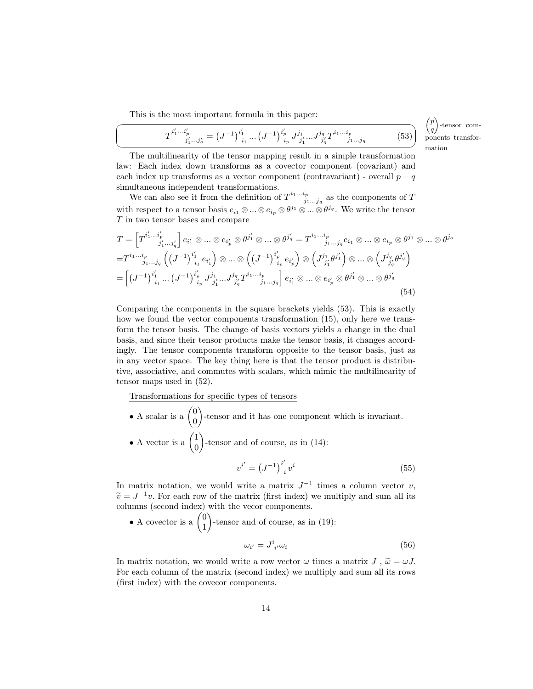This is the most important formula in this paper:

☛

<span id="page-13-0"></span>
$$
T^{i'_1 \cdots i'_p}_{j'_1 \cdots j'_q} = (J^{-1})^{i'_1}_{i_1} \cdots (J^{-1})^{i'_p}_{i_p} J^{j_1}_{j'_1} \cdots J^{j_q}_{j'_q} T^{i_1 \cdots i_p}_{j_1 \cdots j_q}
$$
(53)

 $\sqrt{p}$ q ). -tensor components transformation

 $^{\prime}$ 

 $\searrow$ The multilinearity of the tensor mapping result in a simple transformation law: Each index down transforms as a covector component (covariant) and each index up transforms as a vector component (contravariant) - overall  $p + q$ simultaneous independent transformations.

We can also see it from the definition of  $T^{i_1...i_p}_{i_1...i_p}$  $j_1...j_q$  as the components of T with respect to a tensor basis  $e_{i_1} \otimes ... \otimes e_{i_p} \otimes \theta^{j_1} \otimes ... \otimes \theta^{j_q}$ . We write the tensor T in two tensor bases and compare

$$
T = \left[T^{i'_1 \dots i'_p}_{j'_1 \dots j'_q}\right] e_{i'_1} \otimes \dots \otimes e_{i'_p} \otimes \theta^{j'_1} \otimes \dots \otimes \theta^{j'_q} = T^{i_1 \dots i_p}_{j_1 \dots j_q} e_{i_1} \otimes \dots \otimes e_{i_p} \otimes \theta^{j_1} \otimes \dots \otimes \theta^{j_q}
$$
  
\n
$$
= T^{i_1 \dots i_p}_{j_1 \dots j_q} \left( \left(J^{-1}\right)^{i'_1}_{i_1} e_{i'_1} \right) \otimes \dots \otimes \left( \left(J^{-1}\right)^{i'_p}_{i_p} e_{i'_p} \right) \otimes \left( J^{j_1}_{j'_1} \theta^{j'_1} \right) \otimes \dots \otimes \left( J^{j_q}_{j'_q} \theta^{j'_q} \right)
$$
  
\n
$$
= \left[ \left(J^{-1}\right)^{i'_1}_{i_1} \dots \left(J^{-1}\right)^{i'_p}_{i_p} J^{j_1}_{j'_1} \dots J^{j_q}_{j'_q} T^{i_1 \dots i_p}_{j'_1} \dots j_q \right] e_{i'_1} \otimes \dots \otimes e_{i'_p} \otimes \theta^{j'_1} \otimes \dots \otimes \theta^{j'_q} \tag{54}
$$

Comparing the components in the square brackets yields [\(53\)](#page-13-0). This is exactly how we found the vector components transformation [\(15\)](#page-4-5), only here we transform the tensor basis. The change of basis vectors yields a change in the dual basis, and since their tensor products make the tensor basis, it changes accordingly. The tensor components transform opposite to the tensor basis, just as in any vector space. The key thing here is that the tensor product is distributive, associative, and commutes with scalars, which mimic the multilinearity of tensor maps used in [\(52\)](#page-12-2).

Transformations for specific types of tensors

- A scalar is a  $\begin{pmatrix} 0 \\ 0 \end{pmatrix}$ 0 -tensor and it has one component which is invariant.
- A vector is a  $\begin{pmatrix} 1 \\ 0 \end{pmatrix}$  $\overline{0}$ -tensor and of course, as in [\(14\)](#page-4-1):

$$
v^{i'} = (J^{-1})^{i'}_{i} v^{i}
$$
 (55)

In matrix notation, we would write a matrix  $J^{-1}$  times a column vector v,  $\widetilde{v} = J^{-1}v$ . For each row of the matrix (first index) we multiply and sum all its columns (second index) with the veces components columns (second index) with the vecor components.

• A covector is a 
$$
\binom{0}{1}
$$
-tensor and of course, as in (19):  

$$
\omega_{i'} = J^{i}_{i'} \omega_{i}
$$
(56)

In matrix notation, we would write a row vector  $\omega$  times a matrix J,  $\tilde{\omega} = \omega J$ . For each column of the matrix (second index) we multiply and sum all its rows (first index) with the covecor components.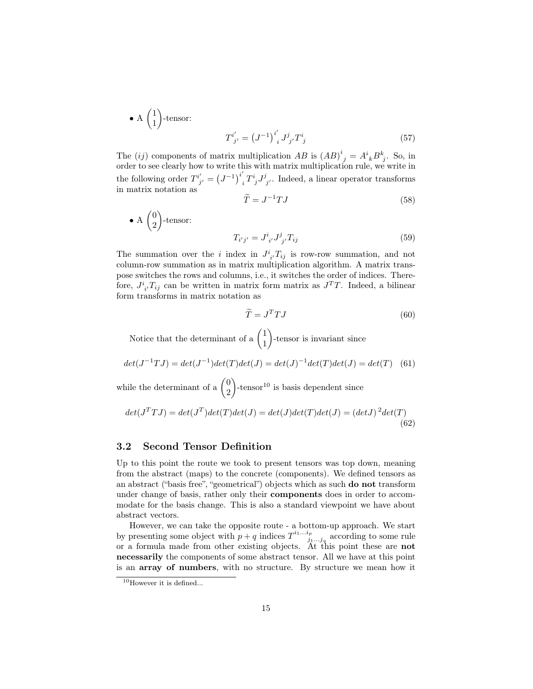• A 
$$
\binom{1}{1}
$$
-tensor:  
\n
$$
T^{i'}_{j'} = (J^{-1})^{i'}_{\ i} J^j_{j'} T^i_{\ j}
$$
\n(57)

The (ij) components of matrix multiplication  $AB$  is  $(AB)^i_{\ j} = A^i_{\ k} B^k_{\ j}$ . So, in order to see clearly how to write this with matrix multiplication rule, we write in the following order  $T^{i'}_{j'} = (J^{-1})^{i'}$  $i_{i}T^{i}_{j}J^{j}_{j}$ . Indeed, a linear operator transforms in matrix notation as  $\tilde{\tau}$ 

$$
\tilde{C} = J^{-1}TJ\tag{58}
$$

• A 
$$
\binom{0}{2}
$$
-tensor:  

$$
T_{i'j'} = J^i_{i'} J^j_{j'} T_{ij}
$$
(59)

The summation over the *i* index in  $J^i_{i'}T_{ij}$  is row-row summation, and not column-row summation as in matrix multiplication algorithm. A matrix transpose switches the rows and columns, i.e., it switches the order of indices. Therefore,  $J^i_{i}T_{ij}$  can be written in matrix form matrix as  $J^T T$ . Indeed, a bilinear form transforms in matrix notation as

$$
\widetilde{T} = J^T T J \tag{60}
$$

Notice that the determinant of a  $\begin{pmatrix} 1 \\ 1 \end{pmatrix}$ 1 -tensor is invariant since

$$
det(J^{-1}TJ) = det(J^{-1})det(T)det(J) = det(J)^{-1}det(T)det(J) = det(T) \quad (61)
$$

while the determinant of a  $\binom{0}{2}$ 2  $\Big)$ -tensor<sup>[10](#page-14-1)</sup> is basis dependent since

$$
det(J^T T J) = det(J^T) det(T) det(J) = det(J) det(T) det(J) = (det J)^2 det(T)
$$
\n(62)

### <span id="page-14-0"></span>3.2 Second Tensor Definition

Up to this point the route we took to present tensors was top down, meaning from the abstract (maps) to the concrete (components). We defined tensors as an abstract ("basis free", "geometrical") objects which as such do not transform under change of basis, rather only their components does in order to accommodate for the basis change. This is also a standard viewpoint we have about abstract vectors.

However, we can take the opposite route - a bottom-up approach. We start by presenting some object with  $p + q$  indices  $T^{i_1...i_p}$  $j_1...j_q$  according to some rule or a formula made from other existing objects. At this point these are not necessarily the components of some abstract tensor. All we have at this point is an array of numbers, with no structure. By structure we mean how it

<span id="page-14-1"></span> $10$ However it is defined...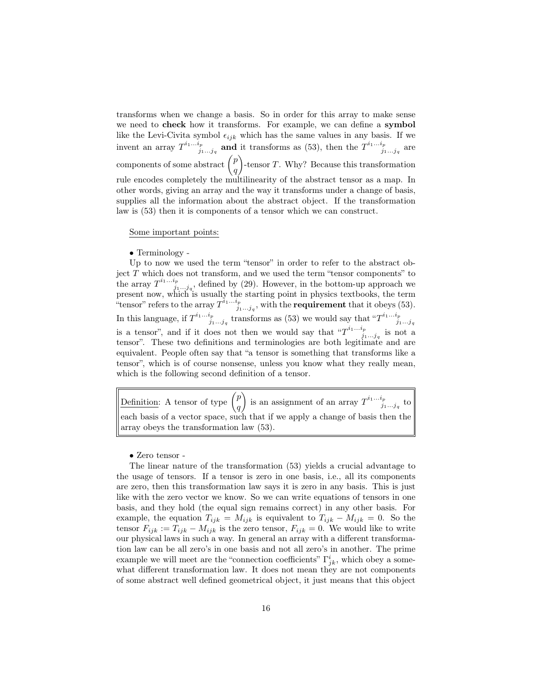transforms when we change a basis. So in order for this array to make sense we need to check how it transforms. For example, we can define a symbol like the Levi-Civita symbol  $\epsilon_{ijk}$  which has the same values in any basis. If we invent an array  $T^{i_1...i_p}$  $j_1^{i_p}$  and it transforms as [\(53\)](#page-13-0), then the  $T^{i_1...i_p}_{j_1...j_q}$  $j_1...j_q$  are components of some abstract  $\binom{p}{p}$ q  $\big)$ -tensor T. Why? Because this transformation rule encodes completely the multilinearity of the abstract tensor as a map. In other words, giving an array and the way it transforms under a change of basis, supplies all the information about the abstract object. If the transformation law is [\(53\)](#page-13-0) then it is components of a tensor which we can construct.

Some important points:

• Terminology -

Up to now we used the term "tensor" in order to refer to the abstract object  $T$  which does not transform, and we used the term "tensor components" to the array  $T^{i_1...i_p}_{i_1...i_p}$  $j_1, \ldots, j_q$ , defined by [\(29\)](#page-8-0). However, in the bottom-up approach we present now, which is usually the starting point in physics textbooks, the term "tensor" refers to the array  $T^{\tilde{i}_1...i_p}_{i_1...i_p}$  $j_1^{t_p}$ , with the **requirement** that it obeys [\(53\)](#page-13-0). In this language, if  $T^{i_1...i_p}_{i_1...i_p}$  $j_1...j_q$  transforms as [\(53\)](#page-13-0) we would say that  $T^{i_1...i_p}_{j_1...j_q}$  $j_1...j_q$ is a tensor", and if it does not then we would say that  $T^{i_1...i_p}_{i_1...i_p}$  $j_1...j_q$  is not a tensor". These two definitions and terminologies are both legitimate and are equivalent. People often say that "a tensor is something that transforms like a tensor", which is of course nonsense, unless you know what they really mean, which is the following second definition of a tensor.

Definition: A tensor of type  $\binom{p}{q}$ q is an assignment of an array  $T^{i_1...i_p}_{i_n}$  $j_1...j_q$  to each basis of a vector space, such that if we apply a change of basis then the array obeys the transformation law [\(53\)](#page-13-0).

• Zero tensor -

The linear nature of the transformation [\(53\)](#page-13-0) yields a crucial advantage to the usage of tensors. If a tensor is zero in one basis, i.e., all its components are zero, then this transformation law says it is zero in any basis. This is just like with the zero vector we know. So we can write equations of tensors in one basis, and they hold (the equal sign remains correct) in any other basis. For example, the equation  $T_{ijk} = M_{ijk}$  is equivalent to  $T_{ijk} - M_{ijk} = 0$ . So the tensor  $F_{ijk} := T_{ijk} - M_{ijk}$  is the zero tensor,  $F_{ijk} = 0$ . We would like to write our physical laws in such a way. In general an array with a different transformation law can be all zero's in one basis and not all zero's in another. The prime example we will meet are the "connection coefficients"  $\Gamma^i_{jk}$ , which obey a somewhat different transformation law. It does not mean they are not components of some abstract well defined geometrical object, it just means that this object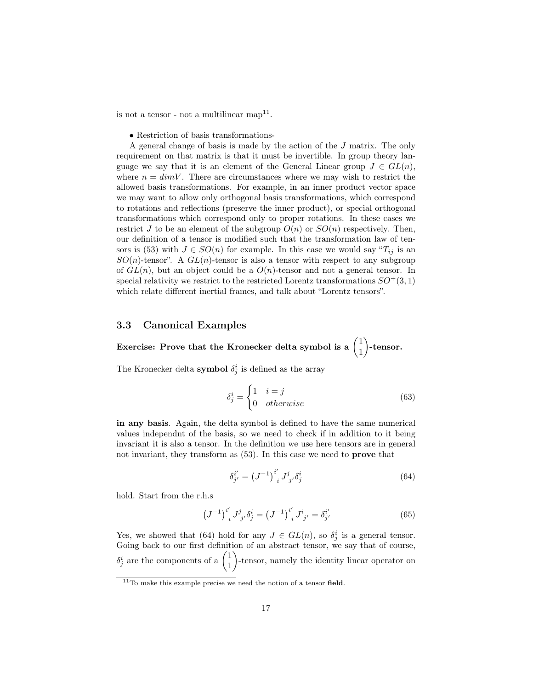is not a tensor - not a multilinear  $\text{map}^{11}$  $\text{map}^{11}$  $\text{map}^{11}$ .

• Restriction of basis transformations-

A general change of basis is made by the action of the J matrix. The only requirement on that matrix is that it must be invertible. In group theory language we say that it is an element of the General Linear group  $J \in GL(n)$ , where  $n = dimV$ . There are circumstances where we may wish to restrict the allowed basis transformations. For example, in an inner product vector space we may want to allow only orthogonal basis transformations, which correspond to rotations and reflections (preserve the inner product), or special orthogonal transformations which correspond only to proper rotations. In these cases we restrict J to be an element of the subgroup  $O(n)$  or  $SO(n)$  respectively. Then, our definition of a tensor is modified such that the transformation law of ten-sors is [\(53\)](#page-13-0) with  $J \in SO(n)$  for example. In this case we would say " $T_{ij}$  is an  $SO(n)$ -tensor". A  $GL(n)$ -tensor is also a tensor with respect to any subgroup of  $GL(n)$ , but an object could be a  $O(n)$ -tensor and not a general tensor. In special relativity we restrict to the restricted Lorentz transformations  $SO^+(3,1)$ which relate different inertial frames, and talk about "Lorentz tensors".

#### <span id="page-16-0"></span>3.3 Canonical Examples

Exercise: Prove that the Kronecker delta symbol is a  $\begin{pmatrix} 1 & 1 \\ 1 & 1 \end{pmatrix}$ 1 -tensor.

The Kronecker delta **symbol**  $\delta_j^i$  is defined as the array

$$
\delta_j^i = \begin{cases} 1 & i = j \\ 0 & otherwise \end{cases}
$$
 (63)

in any basis. Again, the delta symbol is defined to have the same numerical values independnt of the basis, so we need to check if in addition to it being invariant it is also a tensor. In the definition we use here tensors are in general not invariant, they transform as [\(53\)](#page-13-0). In this case we need to prove that

<span id="page-16-2"></span>
$$
\delta_{j'}^{i'} = (J^{-1})_{i}^{i'} J_{j'}^j \delta_j^i
$$
 (64)

hold. Start from the r.h.s

$$
\left(J^{-1}\right)^{i'}_{i} J^{j}_{j'} \delta^{i}_{j} = \left(J^{-1}\right)^{i'}_{i} J^{i}_{j'} = \delta^{i'}_{j'}
$$
\n(65)

Yes, we showed that [\(64\)](#page-16-2) hold for any  $J \in GL(n)$ , so  $\delta_j^i$  is a general tensor. Going back to our first definition of an abstract tensor, we say that of course,  $\delta_j^i$  are the components of a  $\begin{pmatrix} 1 \\ 1 \end{pmatrix}$ 1 -tensor, namely the identity linear operator on

<span id="page-16-1"></span> $^{11}{\rm To}$  make this example precise we need the notion of a tensor field.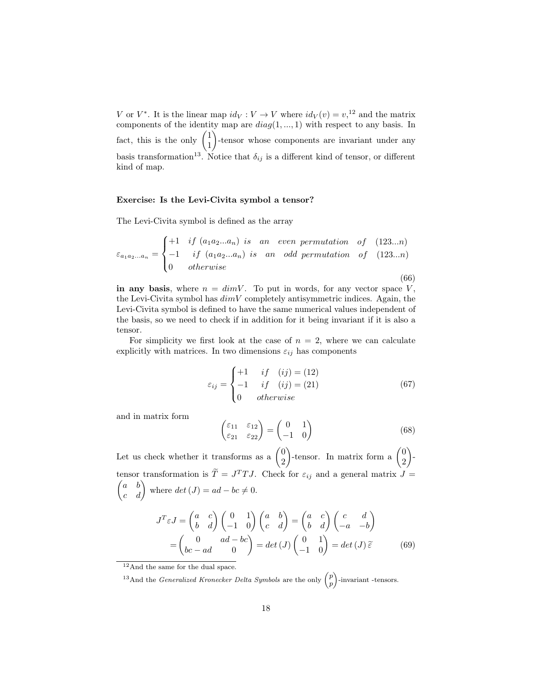V or  $V^*$ . It is the linear map  $id_V: V \to V$  where  $id_V(v) = v<sub>1</sub><sup>12</sup>$  $id_V(v) = v<sub>1</sub><sup>12</sup>$  $id_V(v) = v<sub>1</sub><sup>12</sup>$  and the matrix components of the identity map are  $diag(1, ..., 1)$  with respect to any basis. In fact, this is the only  $\begin{pmatrix} 1 \\ 1 \end{pmatrix}$ 1 -tensor whose components are invariant under any basis transformation<sup>[13](#page-17-1)</sup>. Notice that  $\delta_{ij}$  is a different kind of tensor, or different kind of map.

#### Exercise: Is the Levi-Civita symbol a tensor?

The Levi-Civita symbol is defined as the array

$$
\varepsilon_{a_1 a_2 \dots a_n} = \begin{cases}\n+1 & if (a_1 a_2 \dots a_n) is an even permutation of (123...n) \\
-1 & if (a_1 a_2 \dots a_n) is an odd permutation of (123...n) \\
0 & otherwise\n\end{cases}
$$
\n(66)

in any basis, where  $n = dimV$ . To put in words, for any vector space V, the Levi-Civita symbol has  $dim V$  completely antisymmetric indices. Again, the Levi-Civita symbol is defined to have the same numerical values independent of the basis, so we need to check if in addition for it being invariant if it is also a tensor.

For simplicity we first look at the case of  $n = 2$ , where we can calculate explicitly with matrices. In two dimensions  $\varepsilon_{ij}$  has components

$$
\varepsilon_{ij} = \begin{cases}\n+1 & if \quad (ij) = (12) \\
-1 & if \quad (ij) = (21) \\
0 & otherwise\n\end{cases}
$$
\n(67)

and in matrix form

$$
\begin{pmatrix} \varepsilon_{11} & \varepsilon_{12} \\ \varepsilon_{21} & \varepsilon_{22} \end{pmatrix} = \begin{pmatrix} 0 & 1 \\ -1 & 0 \end{pmatrix}
$$
 (68)

Let us check whether it transforms as a  $\begin{pmatrix} 0 \\ 0 \end{pmatrix}$ 2 )-tensor. In matrix form a  $\begin{pmatrix} 0 \\ 0 \end{pmatrix}$ 2  $\overline{\phantom{a}}$ tensor transformation is  $\tilde{T} = J^T T J$ . Check for  $\varepsilon_{ij}$  and a general matrix  $J =$  $\begin{pmatrix} a & b \\ c & d \end{pmatrix}$  where  $det(J) = ad - bc \neq 0$ .

$$
J^T \varepsilon J = \begin{pmatrix} a & c \\ b & d \end{pmatrix} \begin{pmatrix} 0 & 1 \\ -1 & 0 \end{pmatrix} \begin{pmatrix} a & b \\ c & d \end{pmatrix} = \begin{pmatrix} a & c \\ b & d \end{pmatrix} \begin{pmatrix} c & d \\ -a & -b \end{pmatrix}
$$

$$
= \begin{pmatrix} 0 & ad - bc \\ bc - ad & 0 \end{pmatrix} = det(J) \begin{pmatrix} 0 & 1 \\ -1 & 0 \end{pmatrix} = det(J) \tilde{\varepsilon}
$$
(69)

<span id="page-17-0"></span><sup>12</sup>And the same for the dual space.

<span id="page-17-1"></span><sup>&</sup>lt;sup>13</sup>And the *Generalized Kronecker Delta Symbols* are the only  $\binom{p}{k}$ p -invariant -tensors.